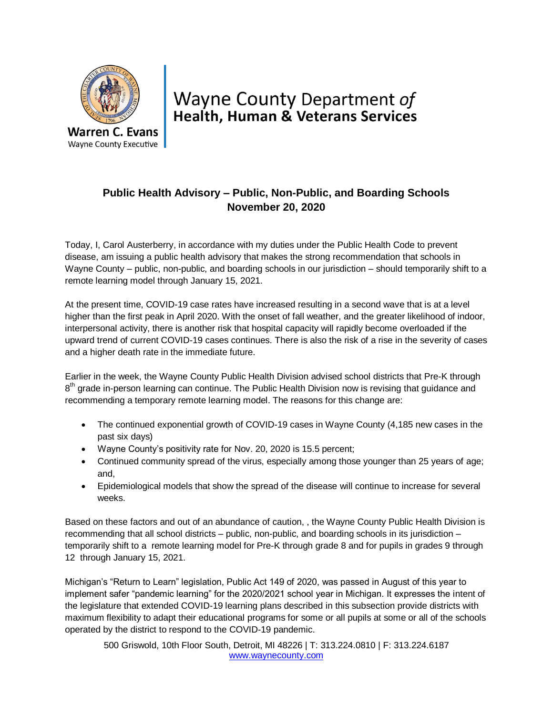

## Wayne County Department of **Health, Human & Veterans Services**

## **Public Health Advisory – Public, Non-Public, and Boarding Schools November 20, 2020**

Today, I, Carol Austerberry, in accordance with my duties under the Public Health Code to prevent disease, am issuing a public health advisory that makes the strong recommendation that schools in Wayne County – public, non-public, and boarding schools in our jurisdiction – should temporarily shift to a remote learning model through January 15, 2021.

At the present time, COVID-19 case rates have increased resulting in a second wave that is at a level higher than the first peak in April 2020. With the onset of fall weather, and the greater likelihood of indoor, interpersonal activity, there is another risk that hospital capacity will rapidly become overloaded if the upward trend of current COVID-19 cases continues. There is also the risk of a rise in the severity of cases and a higher death rate in the immediate future.

Earlier in the week, the Wayne County Public Health Division advised school districts that Pre-K through 8<sup>th</sup> grade in-person learning can continue. The Public Health Division now is revising that guidance and recommending a temporary remote learning model. The reasons for this change are:

- The continued exponential growth of COVID-19 cases in Wayne County (4,185 new cases in the past six days)
- Wayne County's positivity rate for Nov. 20, 2020 is 15.5 percent;
- Continued community spread of the virus, especially among those younger than 25 years of age; and,
- Epidemiological models that show the spread of the disease will continue to increase for several weeks.

Based on these factors and out of an abundance of caution, , the Wayne County Public Health Division is recommending that all school districts – public, non-public, and boarding schools in its jurisdiction – temporarily shift to a remote learning model for Pre-K through grade 8 and for pupils in grades 9 through 12 through January 15, 2021.

Michigan's "Return to Learn" legislation, Public Act 149 of 2020, was passed in August of this year to implement safer "pandemic learning" for the 2020/2021 school year in Michigan. It expresses the intent of the legislature that extended COVID-19 learning plans described in this subsection provide districts with maximum flexibility to adapt their educational programs for some or all pupils at some or all of the schools operated by the district to respond to the COVID-19 pandemic.

500 Griswold, 10th Floor South, Detroit, MI 48226 | T: 313.224.0810 | F: 313.224.6187 www.waynecounty.com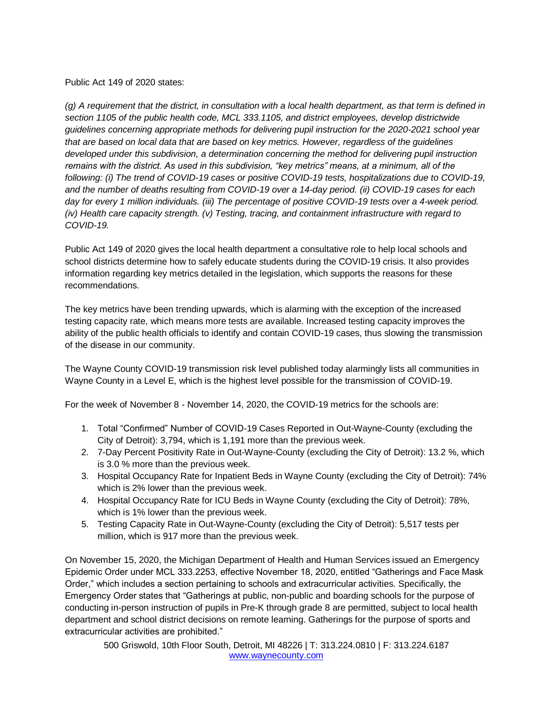## Public Act 149 of 2020 states:

*(g) A requirement that the district, in consultation with a local health department, as that term is defined in section 1105 of the public health code, MCL 333.1105, and district employees, develop districtwide guidelines concerning appropriate methods for delivering pupil instruction for the 2020-2021 school year that are based on local data that are based on key metrics. However, regardless of the guidelines developed under this subdivision, a determination concerning the method for delivering pupil instruction remains with the district. As used in this subdivision, "key metrics" means, at a minimum, all of the following: (i) The trend of COVID-19 cases or positive COVID-19 tests, hospitalizations due to COVID-19, and the number of deaths resulting from COVID-19 over a 14-day period. (ii) COVID-19 cases for each day for every 1 million individuals. (iii) The percentage of positive COVID-19 tests over a 4-week period. (iv) Health care capacity strength. (v) Testing, tracing, and containment infrastructure with regard to COVID-19.*

Public Act 149 of 2020 gives the local health department a consultative role to help local schools and school districts determine how to safely educate students during the COVID-19 crisis. It also provides information regarding key metrics detailed in the legislation, which supports the reasons for these recommendations.

The key metrics have been trending upwards, which is alarming with the exception of the increased testing capacity rate, which means more tests are available. Increased testing capacity improves the ability of the public health officials to identify and contain COVID-19 cases, thus slowing the transmission of the disease in our community.

The Wayne County COVID-19 transmission risk level published today alarmingly lists all communities in Wayne County in a Level E, which is the highest level possible for the transmission of COVID-19.

For the week of November 8 - November 14, 2020, the COVID-19 metrics for the schools are:

- 1. Total "Confirmed" Number of COVID-19 Cases Reported in Out-Wayne-County (excluding the City of Detroit): 3,794, which is 1,191 more than the previous week.
- 2. 7-Day Percent Positivity Rate in Out-Wayne-County (excluding the City of Detroit): 13.2 %, which is 3.0 % more than the previous week.
- 3. Hospital Occupancy Rate for Inpatient Beds in Wayne County (excluding the City of Detroit): 74% which is 2% lower than the previous week.
- 4. Hospital Occupancy Rate for ICU Beds in Wayne County (excluding the City of Detroit): 78%, which is 1% lower than the previous week.
- 5. Testing Capacity Rate in Out-Wayne-County (excluding the City of Detroit): 5,517 tests per million, which is 917 more than the previous week.

On November 15, 2020, the Michigan Department of Health and Human Services issued an Emergency Epidemic Order under MCL 333.2253, effective November 18, 2020, entitled "Gatherings and Face Mask Order," which includes a section pertaining to schools and extracurricular activities. Specifically, the Emergency Order states that "Gatherings at public, non-public and boarding schools for the purpose of conducting in-person instruction of pupils in Pre-K through grade 8 are permitted, subject to local health department and school district decisions on remote learning. Gatherings for the purpose of sports and extracurricular activities are prohibited."

500 Griswold, 10th Floor South, Detroit, MI 48226 | T: 313.224.0810 | F: 313.224.6187 www.waynecounty.com